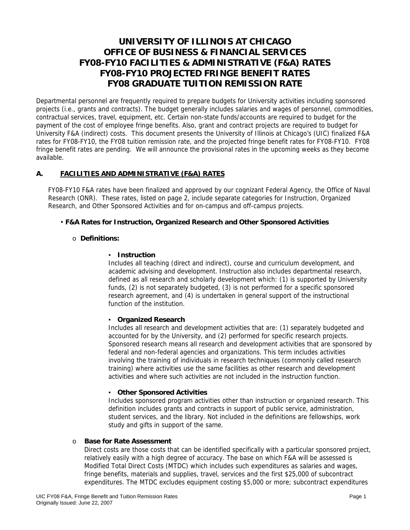# **UNIVERSITY OF ILLINOIS AT CHICAGO OFFICE OF BUSINESS & FINANCIAL SERVICES FY08-FY10 FACILITIES & ADMINISTRATIVE (F&A) RATES FY08-FY10 PROJECTED FRINGE BENEFIT RATES FY08 GRADUATE TUITION REMISSION RATE**

Departmental personnel are frequently required to prepare budgets for University activities including sponsored projects (i.e., grants and contracts). The budget generally includes salaries and wages of personnel, commodities, contractual services, travel, equipment, etc. Certain non-state funds/accounts are required to budget for the payment of the cost of employee fringe benefits. Also, grant and contract projects are required to budget for University F&A (indirect) costs. This document presents the University of Illinois at Chicago's (UIC) finalized F&A rates for FY08-FY10, the FY08 tuition remission rate, and the projected fringe benefit rates for FY08-FY10. FY08 fringe benefit rates are pending. We will announce the provisional rates in the upcoming weeks as they become available.

## **A. FACILITIES AND ADMINISTRATIVE (F&A) RATES**

FY08-FY10 F&A rates have been finalized and approved by our cognizant Federal Agency, the Office of Naval Research (ONR). These rates, listed on page 2, include separate categories for Instruction, Organized Research, and Other Sponsored Activities and for on-campus and off-campus projects.

#### • **F&A Rates for Instruction, Organized Research and Other Sponsored Activities**

## o **Definitions:**

#### ▪ **Instruction**

Includes all teaching (direct and indirect), course and curriculum development, and academic advising and development. Instruction also includes departmental research, defined as all research and scholarly development which: (1) is supported by University funds, (2) is not separately budgeted, (3) is not performed for a specific sponsored research agreement, and (4) is undertaken in general support of the instructional function of the institution.

#### ▪ **Organized Research**

Includes all research and development activities that are: (1) separately budgeted and accounted for by the University, and (2) performed for specific research projects. Sponsored research means all research and development activities that are sponsored by federal and non-federal agencies and organizations. This term includes activities involving the training of individuals in research techniques (commonly called research training) where activities use the same facilities as other research and development activities and where such activities are not included in the instruction function.

#### ▪ **Other Sponsored Activities**

Includes sponsored program activities other than instruction or organized research. This definition includes grants and contracts in support of public service, administration, student services, and the library. Not included in the definitions are fellowships, work study and gifts in support of the same.

## o **Base for Rate Assessment**

Direct costs are those costs that can be identified specifically with a particular sponsored project, relatively easily with a high degree of accuracy. The base on which F&A will be assessed is Modified Total Direct Costs (MTDC) which includes such expenditures as salaries and wages, fringe benefits, materials and supplies, travel, services and the first \$25,000 of subcontract expenditures. The MTDC excludes equipment costing \$5,000 or more; subcontract expenditures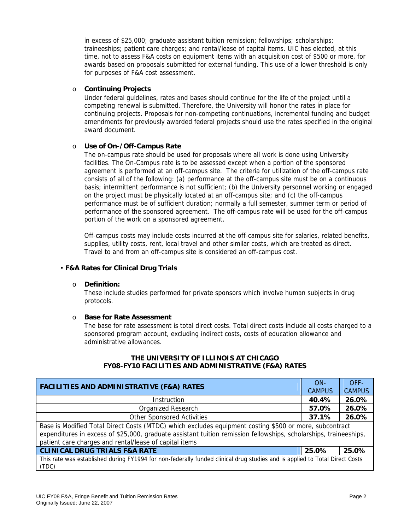in excess of \$25,000; graduate assistant tuition remission; fellowships; scholarships; traineeships; patient care charges; and rental/lease of capital items. UIC has elected, at this time, not to assess F&A costs on equipment items with an acquisition cost of \$500 or more, for awards based on proposals submitted for external funding. This use of a lower threshold is only for purposes of F&A cost assessment.

## o **Continuing Projects**

Under federal guidelines, rates and bases should continue for the life of the project until a competing renewal is submitted. Therefore, the University will honor the rates in place for continuing projects. Proposals for non-competing continuations, incremental funding and budget amendments for previously awarded federal projects should use the rates specified in the original award document.

## o **Use of On-/Off-Campus Rate**

The on-campus rate should be used for proposals where all work is done using University facilities. The On-Campus rate is to be assessed except when a portion of the sponsored agreement is performed at an off-campus site. The criteria for utilization of the off-campus rate consists of all of the following: (a) performance at the off-campus site must be on a continuous basis; intermittent performance is not sufficient; (b) the University personnel working or engaged on the project must be physically located at an off-campus site; and (c) the off-campus performance must be of sufficient duration; normally a full semester, summer term or period of performance of the sponsored agreement. The off-campus rate will be used for the off-campus portion of the work on a sponsored agreement.

Off-campus costs may include costs incurred at the off-campus site for salaries, related benefits, supplies, utility costs, rent, local travel and other similar costs, which are treated as direct. Travel to and from an off-campus site is considered an off-campus cost.

## • **F&A Rates for Clinical Drug Trials**

#### o **Definition:**

These include studies performed for private sponsors which involve human subjects in drug protocols.

## o **Base for Rate Assessment**

The base for rate assessment is total direct costs. Total direct costs include all costs charged to a sponsored program account, excluding indirect costs, costs of education allowance and administrative allowances.

| <b>FACILITIES AND ADMINISTRATIVE (F&amp;A) RATES</b>                                                                                                                                                                                                                                  |       | OFF-          |  |
|---------------------------------------------------------------------------------------------------------------------------------------------------------------------------------------------------------------------------------------------------------------------------------------|-------|---------------|--|
|                                                                                                                                                                                                                                                                                       |       | <b>CAMPUS</b> |  |
| Instruction                                                                                                                                                                                                                                                                           |       | 26.0%         |  |
| Organized Research                                                                                                                                                                                                                                                                    | 57.0% | 26.0%         |  |
| <b>Other Sponsored Activities</b>                                                                                                                                                                                                                                                     | 37.1% | 26.0%         |  |
| Base is Modified Total Direct Costs (MTDC) which excludes equipment costing \$500 or more, subcontract<br>expenditures in excess of \$25,000, graduate assistant tuition remission fellowships, scholarships, traineeships,<br>patient care charges and rental/lease of capital items |       |               |  |
| <b>CLINICAL DRUG TRIALS F&amp;A RATE</b>                                                                                                                                                                                                                                              | 25.0% | 25.0%         |  |
| This rate was established during FY1994 for non-federally funded clinical drug studies and is applied to Total Direct Costs<br>(TDC)                                                                                                                                                  |       |               |  |

## **THE UNIVERSITY OF ILLINOIS AT CHICAGO FY08-FY10 FACILITIES AND ADMINISTRATIVE (F&A) RATES**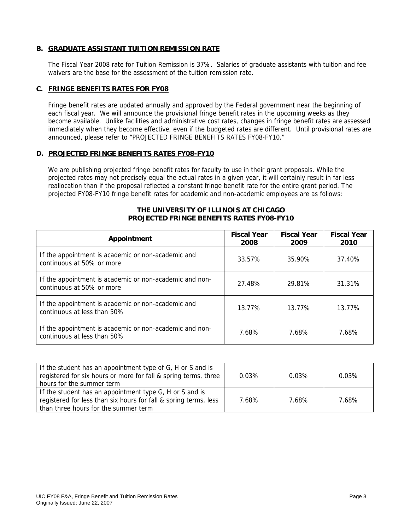## **B. GRADUATE ASSISTANT TUITION REMISSION RATE**

The Fiscal Year 2008 rate for Tuition Remission is 37%. Salaries of graduate assistants with tuition and fee waivers are the base for the assessment of the tuition remission rate.

## **C. FRINGE BENEFITS RATES FOR FY08**

Fringe benefit rates are updated annually and approved by the Federal government near the beginning of each fiscal year. We will announce the provisional fringe benefit rates in the upcoming weeks as they become available. Unlike facilities and administrative cost rates, changes in fringe benefit rates are assessed immediately when they become effective, even if the budgeted rates are different. Until provisional rates are announced, please refer to "PROJECTED FRINGE BENEFITS RATES FY08-FY10."

#### **D. PROJECTED FRINGE BENEFITS RATES FY08-FY10**

We are publishing projected fringe benefit rates for faculty to use in their grant proposals. While the projected rates may not precisely equal the actual rates in a given year, it will certainly result in far less reallocation than if the proposal reflected a constant fringe benefit rate for the entire grant period. The projected FY08-FY10 fringe benefit rates for academic and non-academic employees are as follows:

## **THE UNIVERSITY OF ILLINOIS AT CHICAGO PROJECTED FRINGE BENEFITS RATES FY08-FY10**

| Appointment                                                                            | <b>Fiscal Year</b><br>2008 | <b>Fiscal Year</b><br>2009 | <b>Fiscal Year</b><br>2010 |
|----------------------------------------------------------------------------------------|----------------------------|----------------------------|----------------------------|
| If the appointment is academic or non-academic and<br>continuous at 50% or more        | 33.57%                     | 35.90%                     | 37.40%                     |
| If the appointment is academic or non-academic and non-<br>continuous at 50% or more   | 27.48%                     | 29.81%                     | 31.31%                     |
| If the appointment is academic or non-academic and<br>continuous at less than 50%      | 13.77%                     | 13.77%                     | 13.77%                     |
| If the appointment is academic or non-academic and non-<br>continuous at less than 50% | 7.68%                      | 7.68%                      | 7.68%                      |

| If the student has an appointment type of G, H or S and is<br>registered for six hours or more for fall & spring terms, three<br>hours for the summer term          | 0.03% | 0.03% | $0.03\%$ |
|---------------------------------------------------------------------------------------------------------------------------------------------------------------------|-------|-------|----------|
| If the student has an appointment type G, H or S and is<br>registered for less than six hours for fall & spring terms, less<br>than three hours for the summer term | 7.68% | 7.68% | 7.68%    |